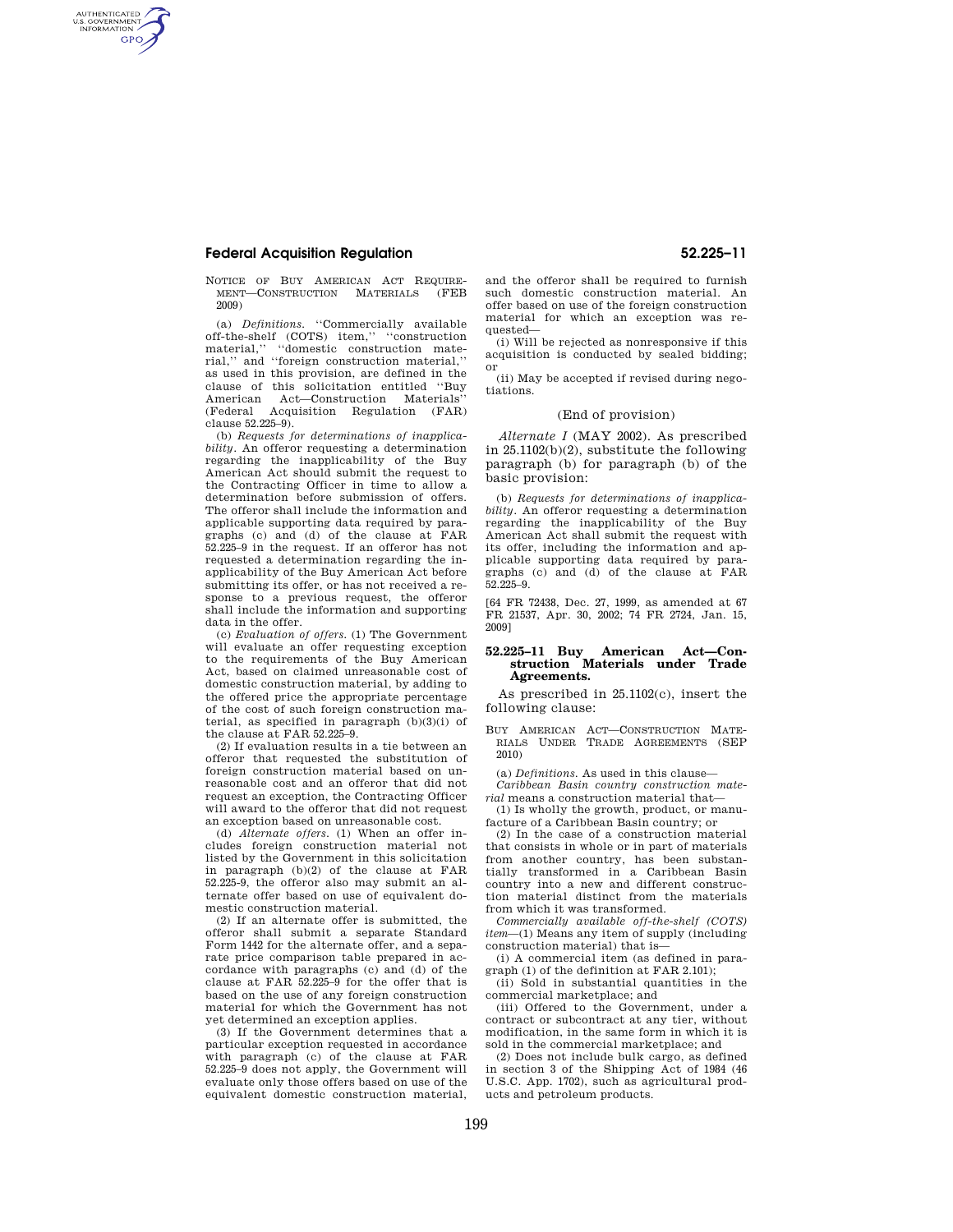## **Federal Acquisition Regulation 52.225–11**

AUTHENTICATED<br>U.S. GOVERNMENT<br>INFORMATION GPO.

#### NOTICE OF BUY AMERICAN ACT REQUIRE-MENT—CONSTRUCTION MATERIALS (FEB 2009)

(a) *Definitions*. ''Commercially available off-the-shelf (COTS) item,'' ''construction material,'' ''domestic construction material,'' and ''foreign construction material,'' as used in this provision, are defined in the clause of this solicitation entitled ''Buy American Act—Construction Materials'' Acquisition Regulation (FAR) clause 52.225–9).

(b) *Requests for determinations of inapplicability.* An offeror requesting a determination regarding the inapplicability of the Buy American Act should submit the request to the Contracting Officer in time to allow a determination before submission of offers. The offeror shall include the information and applicable supporting data required by paragraphs (c) and (d) of the clause at FAR 52.225–9 in the request. If an offeror has not requested a determination regarding the inapplicability of the Buy American Act before submitting its offer, or has not received a response to a previous request, the offeror shall include the information and supporting data in the offer.

(c) *Evaluation of offers.* (1) The Government will evaluate an offer requesting exception to the requirements of the Buy American Act, based on claimed unreasonable cost of domestic construction material, by adding to the offered price the appropriate percentage of the cost of such foreign construction material, as specified in paragraph (b)(3)(i) of the clause at FAR 52.225–9.

(2) If evaluation results in a tie between an offeror that requested the substitution of foreign construction material based on unreasonable cost and an offeror that did not request an exception, the Contracting Officer will award to the offeror that did not request an exception based on unreasonable cost.

(d) *Alternate offers.* (1) When an offer includes foreign construction material not listed by the Government in this solicitation in paragraph (b)(2) of the clause at FAR 52.225-9, the offeror also may submit an alternate offer based on use of equivalent domestic construction material.

(2) If an alternate offer is submitted, the offeror shall submit a separate Standard Form 1442 for the alternate offer, and a separate price comparison table prepared in accordance with paragraphs (c) and (d) of the clause at FAR 52.225–9 for the offer that is based on the use of any foreign construction material for which the Government has not yet determined an exception applies.

(3) If the Government determines that a particular exception requested in accordance with paragraph (c) of the clause at FAR 52.225–9 does not apply, the Government will evaluate only those offers based on use of the equivalent domestic construction material, and the offeror shall be required to furnish such domestic construction material. An offer based on use of the foreign construction material for which an exception was requested—

(i) Will be rejected as nonresponsive if this acquisition is conducted by sealed bidding; or

(ii) May be accepted if revised during negotiations.

#### (End of provision)

*Alternate I* (MAY 2002). As prescribed in 25.1102(b)(2), substitute the following paragraph (b) for paragraph (b) of the basic provision:

(b) *Requests for determinations of inapplicability.* An offeror requesting a determination regarding the inapplicability of the Buy American Act shall submit the request with its offer, including the information and applicable supporting data required by paragraphs (c) and (d) of the clause at FAR 52.225–9.

[64 FR 72438, Dec. 27, 1999, as amended at 67 FR 21537, Apr. 30, 2002; 74 FR 2724, Jan. 15, 2009]

#### **52.225–11 Buy American Act—Construction Materials under Trade Agreements.**

As prescribed in 25.1102(c), insert the following clause:

BUY AMERICAN ACT—CONSTRUCTION MATE-RIALS UNDER TRADE AGREEMENTS (SEP 2010)

(a) *Definitions.* As used in this clause—

*Caribbean Basin country construction material* means a construction material that—

(1) Is wholly the growth, product, or manufacture of a Caribbean Basin country; or

(2) In the case of a construction material that consists in whole or in part of materials from another country, has been substantially transformed in a Caribbean Basin country into a new and different construction material distinct from the materials from which it was transformed.

*Commercially available off-the-shelf (COTS) item*—(1) Means any item of supply (including construction material) that is—

(i) A commercial item (as defined in paragraph (1) of the definition at FAR 2.101);

(ii) Sold in substantial quantities in the commercial marketplace; and

(iii) Offered to the Government, under a contract or subcontract at any tier, without modification, in the same form in which it is sold in the commercial marketplace; and

(2) Does not include bulk cargo, as defined in section 3 of the Shipping Act of 1984 (46 U.S.C. App. 1702), such as agricultural products and petroleum products.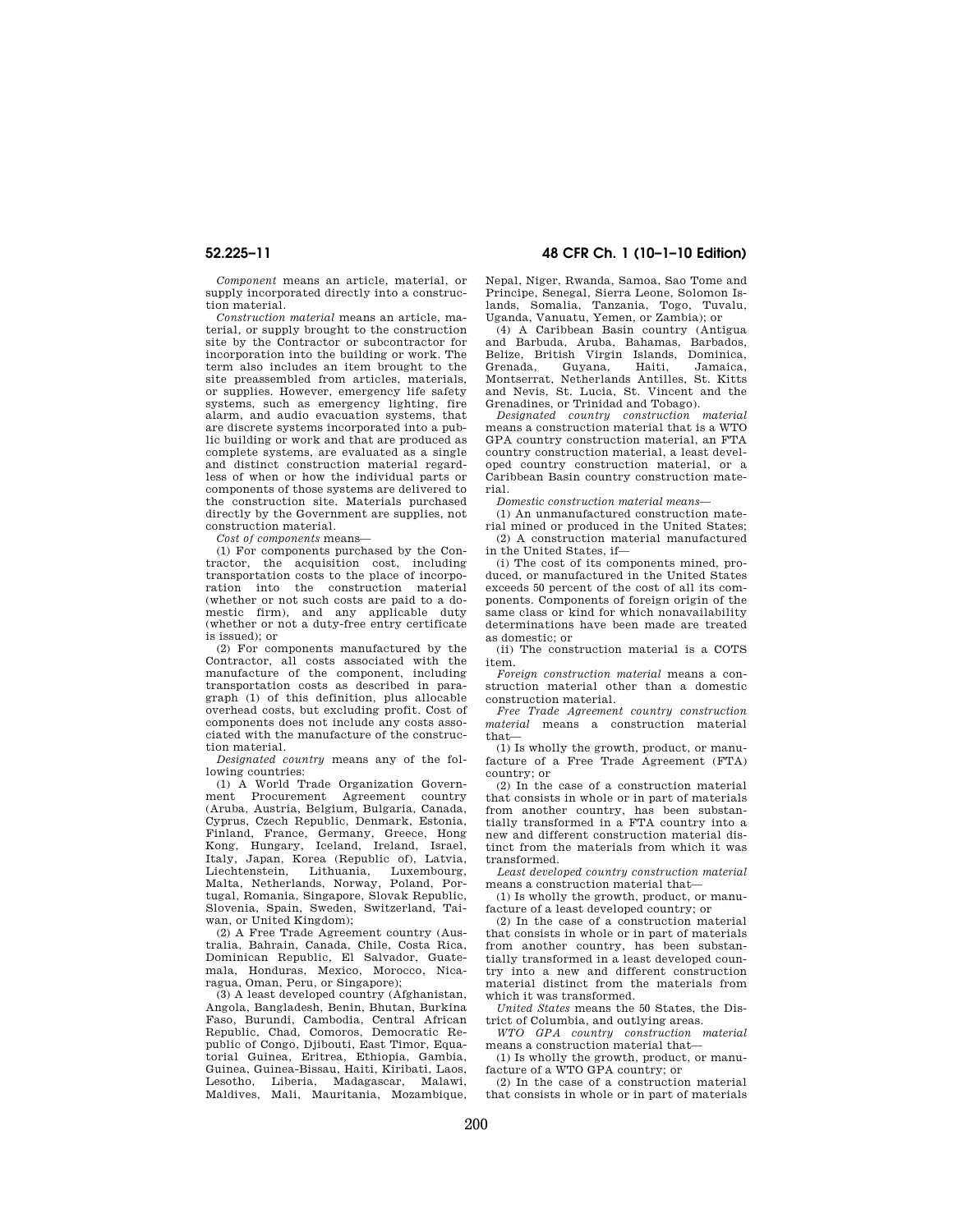*Component* means an article, material, or supply incorporated directly into a construction material.

*Construction material* means an article, material, or supply brought to the construction site by the Contractor or subcontractor for incorporation into the building or work. The term also includes an item brought to the site preassembled from articles, materials, or supplies. However, emergency life safety systems, such as emergency lighting, fire alarm, and audio evacuation systems, that are discrete systems incorporated into a public building or work and that are produced as complete systems, are evaluated as a single and distinct construction material regardless of when or how the individual parts or components of those systems are delivered to the construction site. Materials purchased directly by the Government are supplies, not construction material.

*Cost of components* means—

(1) For components purchased by the Contractor, the acquisition cost, including transportation costs to the place of incorporation into the construction material (whether or not such costs are paid to a domestic firm), and any applicable duty (whether or not a duty-free entry certificate is issued); or

(2) For components manufactured by the Contractor, all costs associated with the manufacture of the component, including transportation costs as described in paragraph (1) of this definition, plus allocable overhead costs, but excluding profit. Cost of components does not include any costs associated with the manufacture of the construction material.

*Designated country* means any of the following countries:

(1) A World Trade Organization Government Procurement Agreement country (Aruba, Austria, Belgium, Bulgaria, Canada, Cyprus, Czech Republic, Denmark, Estonia, Finland, France, Germany, Greece, Hong Kong, Hungary, Iceland, Ireland, Israel, Italy, Japan, Korea (Republic of), Latvia, Liechtenstein, Lithuania, Luxembourg, Malta, Netherlands, Norway, Poland, Portugal, Romania, Singapore, Slovak Republic, Slovenia, Spain, Sweden, Switzerland, Taiwan, or United Kingdom);

(2) A Free Trade Agreement country (Australia, Bahrain, Canada, Chile, Costa Rica, Dominican Republic, El Salvador, Guatemala, Honduras, Mexico, Morocco, Nicaragua, Oman, Peru, or Singapore);

(3) A least developed country (Afghanistan, Angola, Bangladesh, Benin, Bhutan, Burkina Faso, Burundi, Cambodia, Central African Republic, Chad, Comoros, Democratic Republic of Congo, Djibouti, East Timor, Equatorial Guinea, Eritrea, Ethiopia, Gambia, Guinea, Guinea-Bissau, Haiti, Kiribati, Laos, Lesotho, Liberia, Madagascar, Malawi, Maldives, Mali, Mauritania, Mozambique,

## **52.225–11 48 CFR Ch. 1 (10–1–10 Edition)**

Nepal, Niger, Rwanda, Samoa, Sao Tome and Principe, Senegal, Sierra Leone, Solomon Islands, Somalia, Tanzania, Togo, Tuvalu, Uganda, Vanuatu, Yemen, or Zambia); or

(4) A Caribbean Basin country (Antigua and Barbuda, Aruba, Bahamas, Barbados, Belize, British Virgin Islands, Dominica, Grenada, Guyana, Haiti, Jamaica, Montserrat, Netherlands Antilles, St. Kitts and Nevis, St. Lucia, St. Vincent and the Grenadines, or Trinidad and Tobago).

*Designated country construction material*  means a construction material that is a WTO GPA country construction material, an FTA country construction material, a least developed country construction material, or a Caribbean Basin country construction material.

*Domestic construction material means*—

(1) An unmanufactured construction material mined or produced in the United States;

(2) A construction material manufactured in the United States, if—

(i) The cost of its components mined, produced, or manufactured in the United States exceeds 50 percent of the cost of all its components. Components of foreign origin of the same class or kind for which nonavailability determinations have been made are treated as domestic; or

(ii) The construction material is a COTS item.

*Foreign construction material* means a construction material other than a domestic construction material.

*Free Trade Agreement country construction material* means a construction material that—

(1) Is wholly the growth, product, or manufacture of a Free Trade Agreement (FTA) country; or

(2) In the case of a construction material that consists in whole or in part of materials from another country, has been substantially transformed in a FTA country into a new and different construction material distinct from the materials from which it was transformed.

*Least developed country construction material*  means a construction material that—

(1) Is wholly the growth, product, or manufacture of a least developed country; or

(2) In the case of a construction material that consists in whole or in part of materials from another country, has been substantially transformed in a least developed country into a new and different construction material distinct from the materials from which it was transformed.

*United States* means the 50 States, the District of Columbia, and outlying areas.

*WTO GPA country construction material*  means a construction material that—

(1) Is wholly the growth, product, or manufacture of a WTO GPA country; or

(2) In the case of a construction material that consists in whole or in part of materials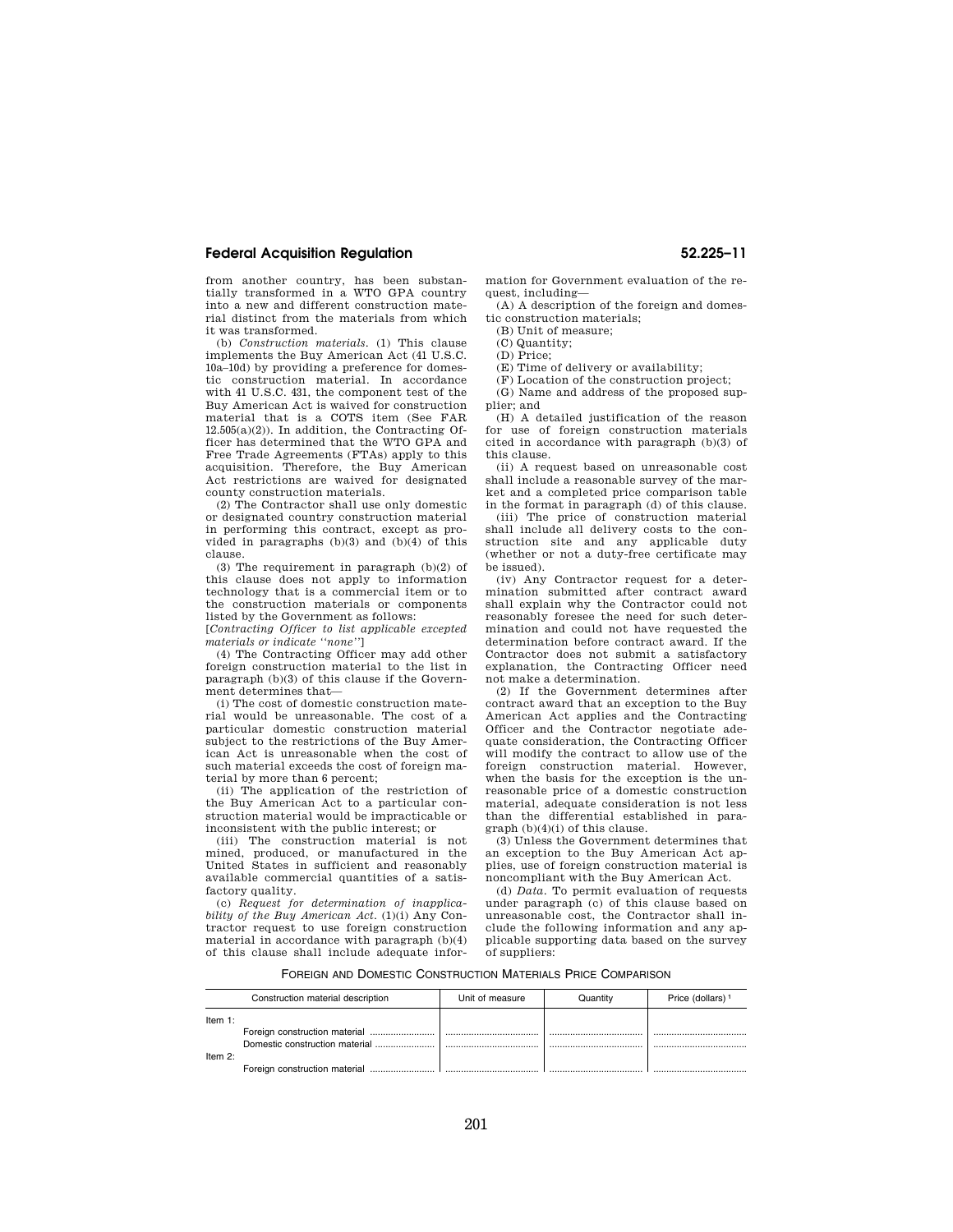## **Federal Acquisition Regulation 52.225–11**

from another country, has been substantially transformed in a WTO GPA country into a new and different construction material distinct from the materials from which it was transformed.

(b) *Construction materials.* (1) This clause implements the Buy American Act (41 U.S.C. 10a–10d) by providing a preference for domestic construction material. In accordance with 41 U.S.C. 431, the component test of the Buy American Act is waived for construction material that is a COTS item (See FAR 12.505(a)(2)). In addition, the Contracting Officer has determined that the WTO GPA and Free Trade Agreements (FTAs) apply to this acquisition. Therefore, the Buy American Act restrictions are waived for designated county construction materials.

(2) The Contractor shall use only domestic or designated country construction material in performing this contract, except as provided in paragraphs (b)(3) and (b)(4) of this clause.

(3) The requirement in paragraph (b)(2) of this clause does not apply to information technology that is a commercial item or to the construction materials or components listed by the Government as follows:

[*Contracting Officer to list applicable excepted materials or indicate ''none''*]

(4) The Contracting Officer may add other foreign construction material to the list in paragraph (b)(3) of this clause if the Government determines that—

(i) The cost of domestic construction material would be unreasonable. The cost of a particular domestic construction material subject to the restrictions of the Buy American Act is unreasonable when the cost of such material exceeds the cost of foreign material by more than 6 percent;

(ii) The application of the restriction of the Buy American Act to a particular construction material would be impracticable or inconsistent with the public interest; or

(iii) The construction material is not mined, produced, or manufactured in the United States in sufficient and reasonably available commercial quantities of a satisfactory quality.

(c) *Request for determination of inapplicability of the Buy American Act.* (1)(i) Any Contractor request to use foreign construction material in accordance with paragraph (b)(4) of this clause shall include adequate infor-

mation for Government evaluation of the request, including—

(A) A description of the foreign and domestic construction materials;

(B) Unit of measure;

(C) Quantity;

(D) Price;

(E) Time of delivery or availability;

(F) Location of the construction project; (G) Name and address of the proposed sup-

plier; and

(H) A detailed justification of the reason for use of foreign construction materials cited in accordance with paragraph (b)(3) of this clause.

(ii) A request based on unreasonable cost shall include a reasonable survey of the market and a completed price comparison table in the format in paragraph (d) of this clause.

(iii) The price of construction material shall include all delivery costs to the construction site and any applicable duty (whether or not a duty-free certificate may be issued).

(iv) Any Contractor request for a determination submitted after contract award shall explain why the Contractor could not reasonably foresee the need for such determination and could not have requested the determination before contract award. If the Contractor does not submit a satisfactory explanation, the Contracting Officer need not make a determination.

(2) If the Government determines after contract award that an exception to the Buy American Act applies and the Contracting Officer and the Contractor negotiate adequate consideration, the Contracting Officer will modify the contract to allow use of the foreign construction material. However, when the basis for the exception is the unreasonable price of a domestic construction material, adequate consideration is not less than the differential established in paragraph (b)(4)(i) of this clause.

(3) Unless the Government determines that an exception to the Buy American Act applies, use of foreign construction material is noncompliant with the Buy American Act.

(d) *Data.* To permit evaluation of requests under paragraph (c) of this clause based on unreasonable cost, the Contractor shall include the following information and any applicable supporting data based on the survey of suppliers:

FOREIGN AND DOMESTIC CONSTRUCTION MATERIALS PRICE COMPARISON

|         | Construction material description | Unit of measure | Quantity | Price (dollars) <sup>1</sup> |
|---------|-----------------------------------|-----------------|----------|------------------------------|
| Item 1: |                                   |                 |          |                              |
|         |                                   |                 |          |                              |
| Item 2: |                                   |                 |          |                              |
|         |                                   |                 |          |                              |